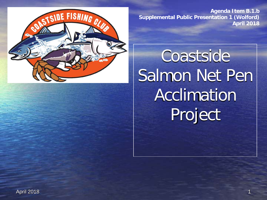

**Agenda Item B.1.b Supplemental Public Presentation 1 (Wolford) April 2018**

**Coastside** Salmon Net Pen Acclimation Project

April 2018 1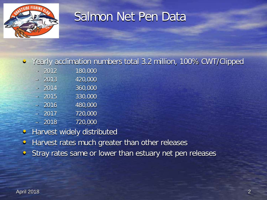

### Salmon Net Pen Data

#### • Yearly acclimation numbers total 3.2 million, 100% CWT/Clipped

| 2012 | 180,000 |
|------|---------|
| 2013 | 420,000 |
| 2014 | 360,000 |
| 2015 | 330,000 |
| 2016 | 480,000 |
| 2017 | 720,000 |
| 2018 | 720,000 |

- Harvest widely distributed
- Harvest rates much greater than other releases
- Stray rates same or lower than estuary net pen releases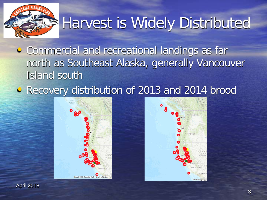

# Harvest is Widely Distributed

- Commercial and recreational landings as far north as Southeast Alaska, generally Vancouver Island south
- Recovery distribution of 2013 and 2014 brood





April 2018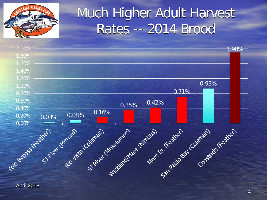

# Much Higher Adult Harvest Rates -- 2014 Brood

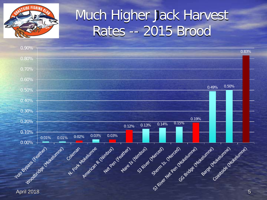

# Much Higher Jack Harvest Rates -- 2015 Brood